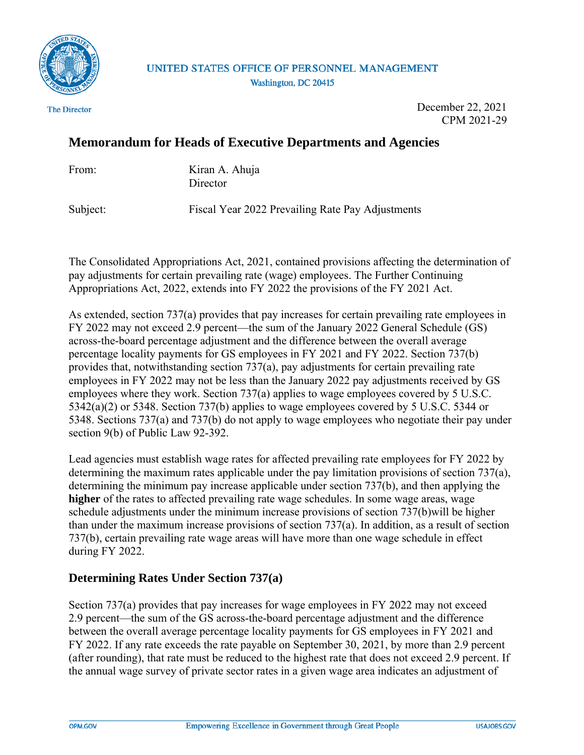

# UNITED STATES OFFICE OF PERSONNEL MANAGEMENT Washington, DC 20415

The Director

December 22, 2021 CPM 2021-29

# **Memorandum for Heads of Executive Departments and Agencies**

From: Kiran A. Ahuja **Director** 

Subject: Fiscal Year 2022 Prevailing Rate Pay Adjustments

The Consolidated Appropriations Act, 2021, contained provisions affecting the determination of pay adjustments for certain prevailing rate (wage) employees. The Further Continuing Appropriations Act, 2022, extends into FY 2022 the provisions of the FY 2021 Act.

As extended, section 737(a) provides that pay increases for certain prevailing rate employees in FY 2022 may not exceed 2.9 percent—the sum of the January 2022 General Schedule (GS) across-the-board percentage adjustment and the difference between the overall average percentage locality payments for GS employees in FY 2021 and FY 2022. Section 737(b) provides that, notwithstanding section 737(a), pay adjustments for certain prevailing rate employees in FY 2022 may not be less than the January 2022 pay adjustments received by GS employees where they work. Section 737(a) applies to wage employees covered by 5 U.S.C. 5342(a)(2) or 5348. Section 737(b) applies to wage employees covered by 5 U.S.C. 5344 or 5348. Sections 737(a) and 737(b) do not apply to wage employees who negotiate their pay under section 9(b) of Public Law 92-392.

Lead agencies must establish wage rates for affected prevailing rate employees for FY 2022 by determining the maximum rates applicable under the pay limitation provisions of section 737(a), determining the minimum pay increase applicable under section 737(b), and then applying the **higher** of the rates to affected prevailing rate wage schedules. In some wage areas, wage schedule adjustments under the minimum increase provisions of section 737(b)will be higher than under the maximum increase provisions of section 737(a). In addition, as a result of section 737(b), certain prevailing rate wage areas will have more than one wage schedule in effect during FY 2022.

# **Determining Rates Under Section 737(a)**

Section 737(a) provides that pay increases for wage employees in FY 2022 may not exceed 2.9 percent—the sum of the GS across-the-board percentage adjustment and the difference between the overall average percentage locality payments for GS employees in FY 2021 and FY 2022. If any rate exceeds the rate payable on September 30, 2021, by more than 2.9 percent (after rounding), that rate must be reduced to the highest rate that does not exceed 2.9 percent. If the annual wage survey of private sector rates in a given wage area indicates an adjustment of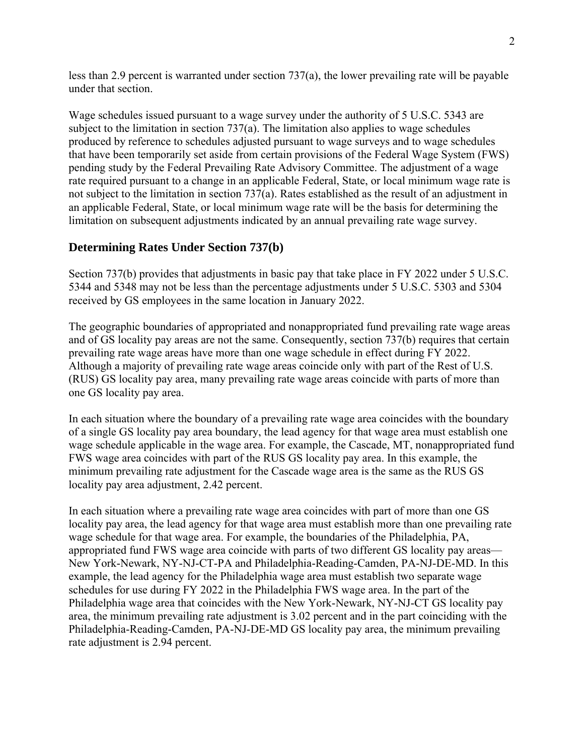less than 2.9 percent is warranted under section  $737(a)$ , the lower prevailing rate will be payable under that section.

Wage schedules issued pursuant to a wage survey under the authority of 5 U.S.C. 5343 are subject to the limitation in section 737(a). The limitation also applies to wage schedules produced by reference to schedules adjusted pursuant to wage surveys and to wage schedules that have been temporarily set aside from certain provisions of the Federal Wage System (FWS) pending study by the Federal Prevailing Rate Advisory Committee. The adjustment of a wage rate required pursuant to a change in an applicable Federal, State, or local minimum wage rate is not subject to the limitation in section 737(a). Rates established as the result of an adjustment in an applicable Federal, State, or local minimum wage rate will be the basis for determining the limitation on subsequent adjustments indicated by an annual prevailing rate wage survey.

# **Determining Rates Under Section 737(b)**

Section 737(b) provides that adjustments in basic pay that take place in FY 2022 under 5 U.S.C. 5344 and 5348 may not be less than the percentage adjustments under 5 U.S.C. 5303 and 5304 received by GS employees in the same location in January 2022.

The geographic boundaries of appropriated and nonappropriated fund prevailing rate wage areas and of GS locality pay areas are not the same. Consequently, section 737(b) requires that certain prevailing rate wage areas have more than one wage schedule in effect during FY 2022. Although a majority of prevailing rate wage areas coincide only with part of the Rest of U.S. (RUS) GS locality pay area, many prevailing rate wage areas coincide with parts of more than one GS locality pay area.

In each situation where the boundary of a prevailing rate wage area coincides with the boundary of a single GS locality pay area boundary, the lead agency for that wage area must establish one wage schedule applicable in the wage area. For example, the Cascade, MT, nonappropriated fund FWS wage area coincides with part of the RUS GS locality pay area. In this example, the minimum prevailing rate adjustment for the Cascade wage area is the same as the RUS GS locality pay area adjustment, 2.42 percent.

In each situation where a prevailing rate wage area coincides with part of more than one GS locality pay area, the lead agency for that wage area must establish more than one prevailing rate wage schedule for that wage area. For example, the boundaries of the Philadelphia, PA, appropriated fund FWS wage area coincide with parts of two different GS locality pay areas— New York-Newark, NY-NJ-CT-PA and Philadelphia-Reading-Camden, PA-NJ-DE-MD. In this example, the lead agency for the Philadelphia wage area must establish two separate wage schedules for use during FY 2022 in the Philadelphia FWS wage area. In the part of the Philadelphia wage area that coincides with the New York-Newark, NY-NJ-CT GS locality pay area, the minimum prevailing rate adjustment is 3.02 percent and in the part coinciding with the Philadelphia-Reading-Camden, PA-NJ-DE-MD GS locality pay area, the minimum prevailing rate adjustment is 2.94 percent.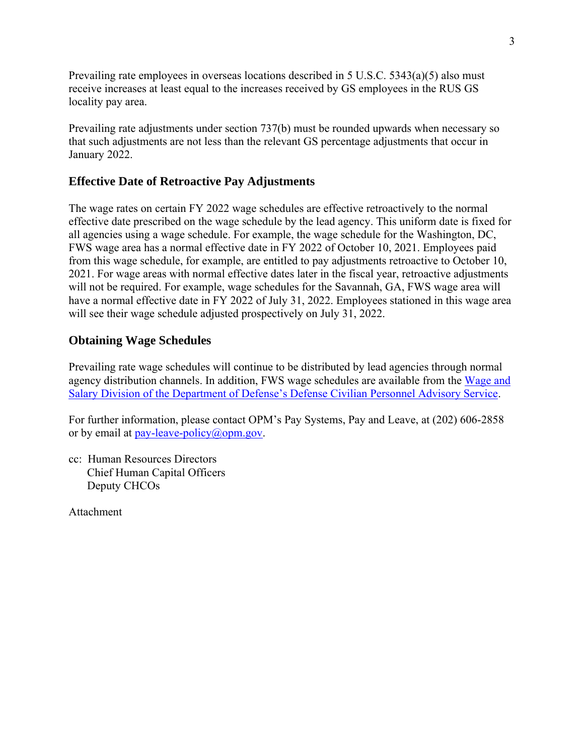Prevailing rate employees in overseas locations described in 5 U.S.C. 5343(a)(5) also must receive increases at least equal to the increases received by GS employees in the RUS GS locality pay area.

Prevailing rate adjustments under section 737(b) must be rounded upwards when necessary so that such adjustments are not less than the relevant GS percentage adjustments that occur in January 2022.

# **Effective Date of Retroactive Pay Adjustments**

The wage rates on certain FY 2022 wage schedules are effective retroactively to the normal effective date prescribed on the wage schedule by the lead agency. This uniform date is fixed for all agencies using a wage schedule. For example, the wage schedule for the Washington, DC, FWS wage area has a normal effective date in FY 2022 of October 10, 2021. Employees paid from this wage schedule, for example, are entitled to pay adjustments retroactive to October 10, 2021. For wage areas with normal effective dates later in the fiscal year, retroactive adjustments will not be required. For example, wage schedules for the Savannah, GA, FWS wage area will have a normal effective date in FY 2022 of July 31, 2022. Employees stationed in this wage area will see their wage schedule adjusted prospectively on July 31, 2022.

# **Obtaining Wage Schedules**

Prevailing rate wage schedules will continue to be distributed by lead agencies through normal agency distribution channels. In addition, FWS wage schedules are available from the [Wage and](https://wageandsalary.dcpas.osd.mil/BWN/WageIndex/)  [Salary Division of the Department of Defense's Defense Civilian Personnel Advisory Service.](https://wageandsalary.dcpas.osd.mil/BWN/WageIndex/)

For further information, please contact OPM's Pay Systems, Pay and Leave, at (202) 606-2858 or by email at pay-leave-policy $(\partial \rho \rho m.g.$ 

cc: Human Resources Directors Chief Human Capital Officers Deputy CHCOs

Attachment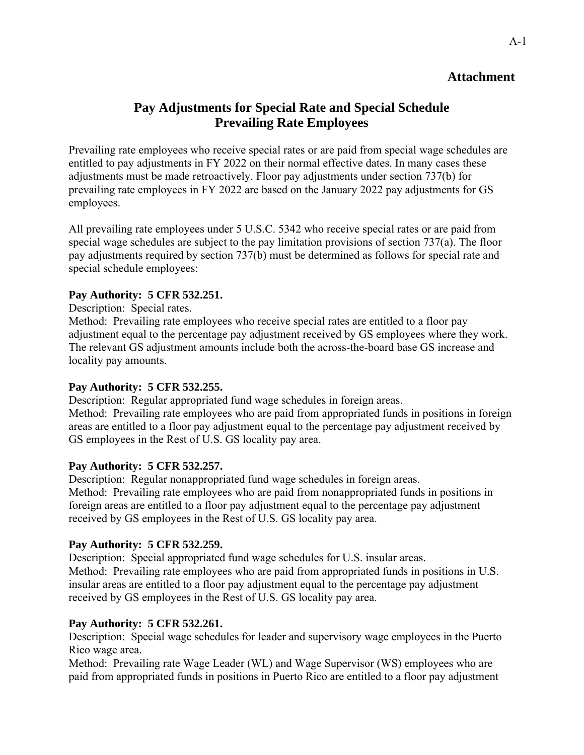# **Attachment**

# **Pay Adjustments for Special Rate and Special Schedule Prevailing Rate Employees**

Prevailing rate employees who receive special rates or are paid from special wage schedules are entitled to pay adjustments in FY 2022 on their normal effective dates. In many cases these adjustments must be made retroactively. Floor pay adjustments under section 737(b) for prevailing rate employees in FY 2022 are based on the January 2022 pay adjustments for GS employees.

All prevailing rate employees under 5 U.S.C. 5342 who receive special rates or are paid from special wage schedules are subject to the pay limitation provisions of section 737(a). The floor pay adjustments required by section 737(b) must be determined as follows for special rate and special schedule employees:

## **Pay Authority: 5 CFR 532.251.**

Description: Special rates.

Method: Prevailing rate employees who receive special rates are entitled to a floor pay adjustment equal to the percentage pay adjustment received by GS employees where they work. The relevant GS adjustment amounts include both the across-the-board base GS increase and locality pay amounts.

### **Pay Authority: 5 CFR 532.255.**

Description: Regular appropriated fund wage schedules in foreign areas. Method: Prevailing rate employees who are paid from appropriated funds in positions in foreign areas are entitled to a floor pay adjustment equal to the percentage pay adjustment received by GS employees in the Rest of U.S. GS locality pay area.

# **Pay Authority: 5 CFR 532.257.**

Description: Regular nonappropriated fund wage schedules in foreign areas. Method: Prevailing rate employees who are paid from nonappropriated funds in positions in foreign areas are entitled to a floor pay adjustment equal to the percentage pay adjustment received by GS employees in the Rest of U.S. GS locality pay area.

# **Pay Authority: 5 CFR 532.259.**

Description: Special appropriated fund wage schedules for U.S. insular areas. Method: Prevailing rate employees who are paid from appropriated funds in positions in U.S. insular areas are entitled to a floor pay adjustment equal to the percentage pay adjustment received by GS employees in the Rest of U.S. GS locality pay area.

# **Pay Authority: 5 CFR 532.261.**

Description: Special wage schedules for leader and supervisory wage employees in the Puerto Rico wage area.

Method: Prevailing rate Wage Leader (WL) and Wage Supervisor (WS) employees who are paid from appropriated funds in positions in Puerto Rico are entitled to a floor pay adjustment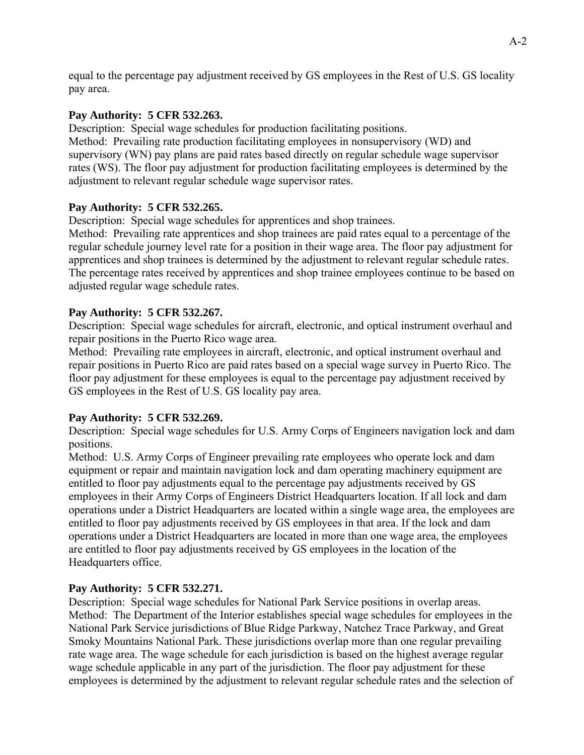equal to the percentage pay adjustment received by GS employees in the Rest of U.S. GS locality pay area.

## **Pay Authority: 5 CFR 532.263.**

Description: Special wage schedules for production facilitating positions. Method: Prevailing rate production facilitating employees in nonsupervisory (WD) and supervisory (WN) pay plans are paid rates based directly on regular schedule wage supervisor rates (WS). The floor pay adjustment for production facilitating employees is determined by the adjustment to relevant regular schedule wage supervisor rates.

# **Pay Authority: 5 CFR 532.265.**

Description: Special wage schedules for apprentices and shop trainees.

Method: Prevailing rate apprentices and shop trainees are paid rates equal to a percentage of the regular schedule journey level rate for a position in their wage area. The floor pay adjustment for apprentices and shop trainees is determined by the adjustment to relevant regular schedule rates. The percentage rates received by apprentices and shop trainee employees continue to be based on adjusted regular wage schedule rates.

## **Pay Authority: 5 CFR 532.267.**

Description: Special wage schedules for aircraft, electronic, and optical instrument overhaul and repair positions in the Puerto Rico wage area.

Method: Prevailing rate employees in aircraft, electronic, and optical instrument overhaul and repair positions in Puerto Rico are paid rates based on a special wage survey in Puerto Rico. The floor pay adjustment for these employees is equal to the percentage pay adjustment received by GS employees in the Rest of U.S. GS locality pay area.

### **Pay Authority: 5 CFR 532.269.**

Description: Special wage schedules for U.S. Army Corps of Engineers navigation lock and dam positions.

Method: U.S. Army Corps of Engineer prevailing rate employees who operate lock and dam equipment or repair and maintain navigation lock and dam operating machinery equipment are entitled to floor pay adjustments equal to the percentage pay adjustments received by GS employees in their Army Corps of Engineers District Headquarters location. If all lock and dam operations under a District Headquarters are located within a single wage area, the employees are entitled to floor pay adjustments received by GS employees in that area. If the lock and dam operations under a District Headquarters are located in more than one wage area, the employees are entitled to floor pay adjustments received by GS employees in the location of the Headquarters office.

### **Pay Authority: 5 CFR 532.271.**

Description: Special wage schedules for National Park Service positions in overlap areas. Method: The Department of the Interior establishes special wage schedules for employees in the National Park Service jurisdictions of Blue Ridge Parkway, Natchez Trace Parkway, and Great Smoky Mountains National Park. These jurisdictions overlap more than one regular prevailing rate wage area. The wage schedule for each jurisdiction is based on the highest average regular wage schedule applicable in any part of the jurisdiction. The floor pay adjustment for these employees is determined by the adjustment to relevant regular schedule rates and the selection of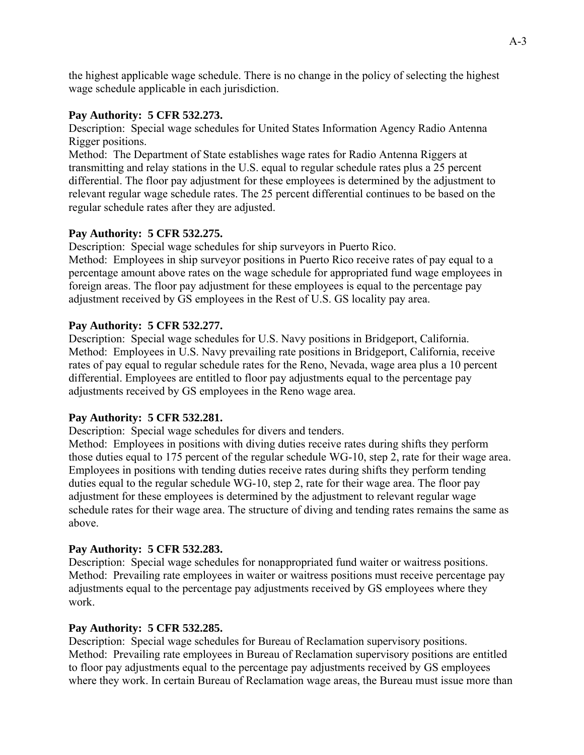the highest applicable wage schedule. There is no change in the policy of selecting the highest wage schedule applicable in each jurisdiction.

## **Pay Authority: 5 CFR 532.273.**

Description: Special wage schedules for United States Information Agency Radio Antenna Rigger positions.

Method: The Department of State establishes wage rates for Radio Antenna Riggers at transmitting and relay stations in the U.S. equal to regular schedule rates plus a 25 percent differential. The floor pay adjustment for these employees is determined by the adjustment to relevant regular wage schedule rates. The 25 percent differential continues to be based on the regular schedule rates after they are adjusted.

# **Pay Authority: 5 CFR 532.275.**

Description: Special wage schedules for ship surveyors in Puerto Rico.

Method: Employees in ship surveyor positions in Puerto Rico receive rates of pay equal to a percentage amount above rates on the wage schedule for appropriated fund wage employees in foreign areas. The floor pay adjustment for these employees is equal to the percentage pay adjustment received by GS employees in the Rest of U.S. GS locality pay area.

## **Pay Authority: 5 CFR 532.277.**

Description: Special wage schedules for U.S. Navy positions in Bridgeport, California. Method: Employees in U.S. Navy prevailing rate positions in Bridgeport, California, receive rates of pay equal to regular schedule rates for the Reno, Nevada, wage area plus a 10 percent differential. Employees are entitled to floor pay adjustments equal to the percentage pay adjustments received by GS employees in the Reno wage area.

### **Pay Authority: 5 CFR 532.281.**

Description: Special wage schedules for divers and tenders.

Method: Employees in positions with diving duties receive rates during shifts they perform those duties equal to 175 percent of the regular schedule WG-10, step 2, rate for their wage area. Employees in positions with tending duties receive rates during shifts they perform tending duties equal to the regular schedule WG-10, step 2, rate for their wage area. The floor pay adjustment for these employees is determined by the adjustment to relevant regular wage schedule rates for their wage area. The structure of diving and tending rates remains the same as above.

### **Pay Authority: 5 CFR 532.283.**

Description: Special wage schedules for nonappropriated fund waiter or waitress positions. Method: Prevailing rate employees in waiter or waitress positions must receive percentage pay adjustments equal to the percentage pay adjustments received by GS employees where they work.

### **Pay Authority: 5 CFR 532.285.**

Description: Special wage schedules for Bureau of Reclamation supervisory positions. Method: Prevailing rate employees in Bureau of Reclamation supervisory positions are entitled to floor pay adjustments equal to the percentage pay adjustments received by GS employees where they work. In certain Bureau of Reclamation wage areas, the Bureau must issue more than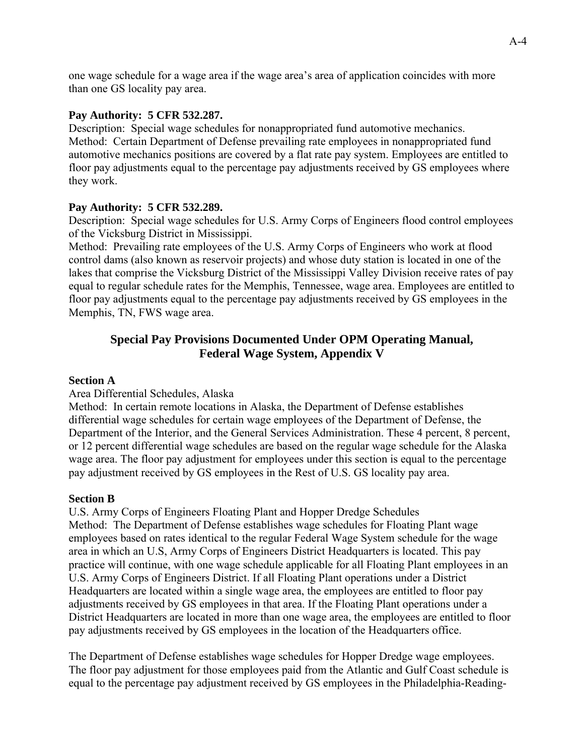one wage schedule for a wage area if the wage area's area of application coincides with more than one GS locality pay area.

### **Pay Authority: 5 CFR 532.287.**

Description: Special wage schedules for nonappropriated fund automotive mechanics. Method: Certain Department of Defense prevailing rate employees in nonappropriated fund automotive mechanics positions are covered by a flat rate pay system. Employees are entitled to floor pay adjustments equal to the percentage pay adjustments received by GS employees where they work.

#### **Pay Authority: 5 CFR 532.289.**

Description: Special wage schedules for U.S. Army Corps of Engineers flood control employees of the Vicksburg District in Mississippi.

Method: Prevailing rate employees of the U.S. Army Corps of Engineers who work at flood control dams (also known as reservoir projects) and whose duty station is located in one of the lakes that comprise the Vicksburg District of the Mississippi Valley Division receive rates of pay equal to regular schedule rates for the Memphis, Tennessee, wage area. Employees are entitled to floor pay adjustments equal to the percentage pay adjustments received by GS employees in the Memphis, TN, FWS wage area.

# **Special Pay Provisions Documented Under OPM Operating Manual, Federal Wage System, Appendix V**

#### **Section A**

#### Area Differential Schedules, Alaska

Method: In certain remote locations in Alaska, the Department of Defense establishes differential wage schedules for certain wage employees of the Department of Defense, the Department of the Interior, and the General Services Administration. These 4 percent, 8 percent, or 12 percent differential wage schedules are based on the regular wage schedule for the Alaska wage area. The floor pay adjustment for employees under this section is equal to the percentage pay adjustment received by GS employees in the Rest of U.S. GS locality pay area.

#### **Section B**

U.S. Army Corps of Engineers Floating Plant and Hopper Dredge Schedules Method: The Department of Defense establishes wage schedules for Floating Plant wage employees based on rates identical to the regular Federal Wage System schedule for the wage area in which an U.S, Army Corps of Engineers District Headquarters is located. This pay practice will continue, with one wage schedule applicable for all Floating Plant employees in an U.S. Army Corps of Engineers District. If all Floating Plant operations under a District Headquarters are located within a single wage area, the employees are entitled to floor pay adjustments received by GS employees in that area. If the Floating Plant operations under a District Headquarters are located in more than one wage area, the employees are entitled to floor pay adjustments received by GS employees in the location of the Headquarters office.

The Department of Defense establishes wage schedules for Hopper Dredge wage employees. The floor pay adjustment for those employees paid from the Atlantic and Gulf Coast schedule is equal to the percentage pay adjustment received by GS employees in the Philadelphia-Reading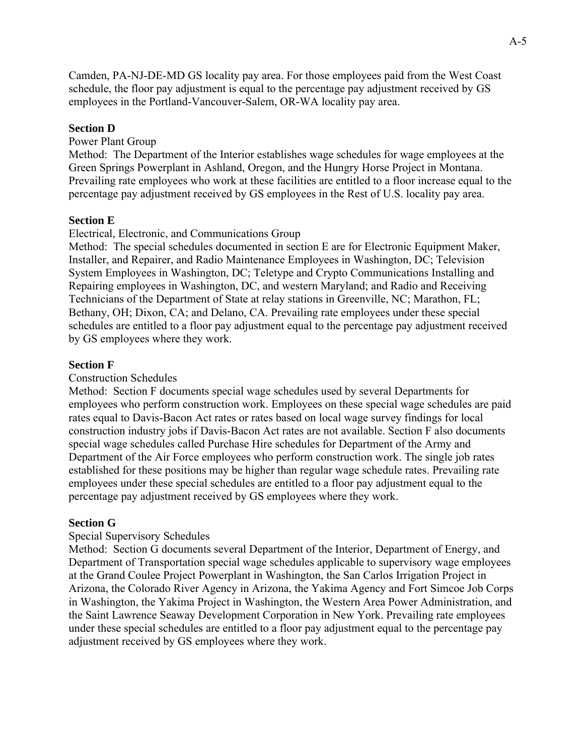Camden, PA-NJ-DE-MD GS locality pay area. For those employees paid from the West Coast schedule, the floor pay adjustment is equal to the percentage pay adjustment received by GS employees in the Portland-Vancouver-Salem, OR-WA locality pay area.

## **Section D**

## Power Plant Group

Method: The Department of the Interior establishes wage schedules for wage employees at the Green Springs Powerplant in Ashland, Oregon, and the Hungry Horse Project in Montana. Prevailing rate employees who work at these facilities are entitled to a floor increase equal to the percentage pay adjustment received by GS employees in the Rest of U.S. locality pay area.

#### **Section E**

#### Electrical, Electronic, and Communications Group

Method: The special schedules documented in section E are for Electronic Equipment Maker, Installer, and Repairer, and Radio Maintenance Employees in Washington, DC; Television System Employees in Washington, DC; Teletype and Crypto Communications Installing and Repairing employees in Washington, DC, and western Maryland; and Radio and Receiving Technicians of the Department of State at relay stations in Greenville, NC; Marathon, FL; Bethany, OH; Dixon, CA; and Delano, CA. Prevailing rate employees under these special schedules are entitled to a floor pay adjustment equal to the percentage pay adjustment received by GS employees where they work.

#### **Section F**

#### Construction Schedules

Method: Section F documents special wage schedules used by several Departments for employees who perform construction work. Employees on these special wage schedules are paid rates equal to Davis-Bacon Act rates or rates based on local wage survey findings for local construction industry jobs if Davis-Bacon Act rates are not available. Section F also documents special wage schedules called Purchase Hire schedules for Department of the Army and Department of the Air Force employees who perform construction work. The single job rates established for these positions may be higher than regular wage schedule rates. Prevailing rate employees under these special schedules are entitled to a floor pay adjustment equal to the percentage pay adjustment received by GS employees where they work.

#### **Section G**

#### Special Supervisory Schedules

Method: Section G documents several Department of the Interior, Department of Energy, and Department of Transportation special wage schedules applicable to supervisory wage employees at the Grand Coulee Project Powerplant in Washington, the San Carlos Irrigation Project in Arizona, the Colorado River Agency in Arizona, the Yakima Agency and Fort Simcoe Job Corps in Washington, the Yakima Project in Washington, the Western Area Power Administration, and the Saint Lawrence Seaway Development Corporation in New York. Prevailing rate employees under these special schedules are entitled to a floor pay adjustment equal to the percentage pay adjustment received by GS employees where they work.